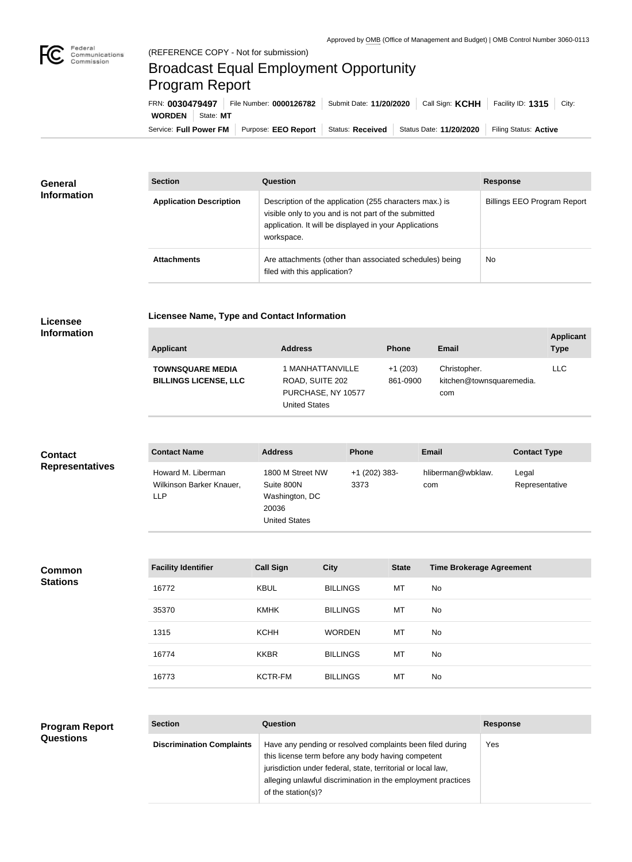

**COL** 

## Broadcast Equal Employment Opportunity Program Report

**Licensee Name, Type and Contact Information**

| FRN: 0030479497        |           | File Number: 0000126782 | Submit Date: 11/20/2020 | Call Sign: <b>KCHH</b>  | Facility ID: $1315$<br>City: |
|------------------------|-----------|-------------------------|-------------------------|-------------------------|------------------------------|
| <b>WORDEN</b>          | State: MT |                         |                         |                         |                              |
| Service: Full Power FM |           | Purpose: EEO Report     | <b>Status: Received</b> | Status Date: 11/20/2020 | Filing Status: Active        |

| <b>General</b>     | <b>Section</b>                 | <b>Question</b>                                                                                                                                                                         | <b>Response</b>                    |
|--------------------|--------------------------------|-----------------------------------------------------------------------------------------------------------------------------------------------------------------------------------------|------------------------------------|
| <b>Information</b> | <b>Application Description</b> | Description of the application (255 characters max.) is<br>visible only to you and is not part of the submitted<br>application. It will be displayed in your Applications<br>workspace. | <b>Billings EEO Program Report</b> |
|                    | <b>Attachments</b>             | Are attachments (other than associated schedules) being<br>filed with this application?                                                                                                 | <b>No</b>                          |

## **Licensee Information**

| <b>Applicant</b>                                        | <b>Address</b>                                                                    | <b>Phone</b>          | Email                                           | <b>Applicant</b><br><b>Type</b> |
|---------------------------------------------------------|-----------------------------------------------------------------------------------|-----------------------|-------------------------------------------------|---------------------------------|
| <b>TOWNSQUARE MEDIA</b><br><b>BILLINGS LICENSE, LLC</b> | 1 MANHATTANVILLE<br>ROAD, SUITE 202<br>PURCHASE, NY 10577<br><b>United States</b> | $+1(203)$<br>861-0900 | Christopher.<br>kitchen@townsquaremedia.<br>com | LLC.                            |

| <b>Contact</b>         | <b>Contact Name</b>                                          | <b>Address</b>                                                                    | <b>Phone</b>          | <b>Email</b>             | <b>Contact Type</b>     |
|------------------------|--------------------------------------------------------------|-----------------------------------------------------------------------------------|-----------------------|--------------------------|-------------------------|
| <b>Representatives</b> | Howard M. Liberman<br>Wilkinson Barker Knauer,<br><b>LLP</b> | 1800 M Street NW<br>Suite 800N<br>Washington, DC<br>20036<br><b>United States</b> | +1 (202) 383-<br>3373 | hliberman@wbklaw.<br>com | Legal<br>Representative |

**Common Stations**

| <b>Facility Identifier</b> | <b>Call Sign</b> | <b>City</b>     | <b>State</b> | <b>Time Brokerage Agreement</b> |
|----------------------------|------------------|-----------------|--------------|---------------------------------|
| 16772                      | <b>KBUL</b>      | <b>BILLINGS</b> | MT           | No.                             |
| 35370                      | <b>KMHK</b>      | <b>BILLINGS</b> | MT           | No.                             |
| 1315                       | <b>KCHH</b>      | <b>WORDEN</b>   | MT           | No.                             |
| 16774                      | <b>KKBR</b>      | <b>BILLINGS</b> | MT           | No.                             |
| 16773                      | <b>KCTR-FM</b>   | <b>BILLINGS</b> | MT           | No.                             |

## **Program Report Questions**

| <b>Section</b>                   | Question                                                                                                                                                                                                                                                              | <b>Response</b> |
|----------------------------------|-----------------------------------------------------------------------------------------------------------------------------------------------------------------------------------------------------------------------------------------------------------------------|-----------------|
| <b>Discrimination Complaints</b> | Have any pending or resolved complaints been filed during<br>this license term before any body having competent<br>jurisdiction under federal, state, territorial or local law,<br>alleging unlawful discrimination in the employment practices<br>of the station(s)? | Yes             |